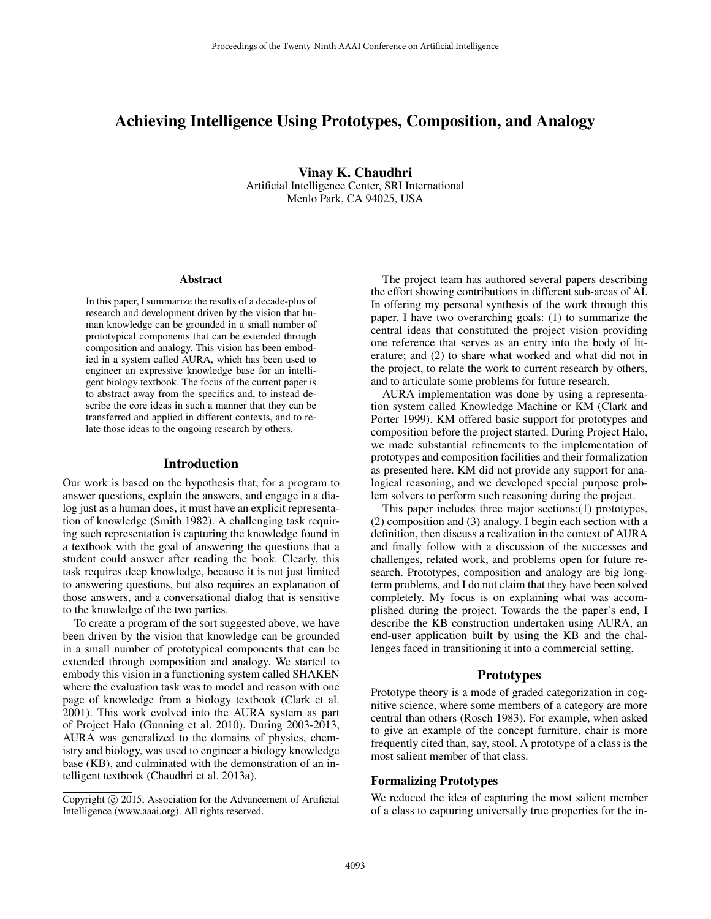# Achieving Intelligence Using Prototypes, Composition, and Analogy

Vinay K. Chaudhri Artificial Intelligence Center, SRI International Menlo Park, CA 94025, USA

#### **Abstract**

In this paper, I summarize the results of a decade-plus of research and development driven by the vision that human knowledge can be grounded in a small number of prototypical components that can be extended through composition and analogy. This vision has been embodied in a system called AURA, which has been used to engineer an expressive knowledge base for an intelligent biology textbook. The focus of the current paper is to abstract away from the specifics and, to instead describe the core ideas in such a manner that they can be transferred and applied in different contexts, and to relate those ideas to the ongoing research by others.

#### Introduction

Our work is based on the hypothesis that, for a program to answer questions, explain the answers, and engage in a dialog just as a human does, it must have an explicit representation of knowledge (Smith 1982). A challenging task requiring such representation is capturing the knowledge found in a textbook with the goal of answering the questions that a student could answer after reading the book. Clearly, this task requires deep knowledge, because it is not just limited to answering questions, but also requires an explanation of those answers, and a conversational dialog that is sensitive to the knowledge of the two parties.

To create a program of the sort suggested above, we have been driven by the vision that knowledge can be grounded in a small number of prototypical components that can be extended through composition and analogy. We started to embody this vision in a functioning system called SHAKEN where the evaluation task was to model and reason with one page of knowledge from a biology textbook (Clark et al. 2001). This work evolved into the AURA system as part of Project Halo (Gunning et al. 2010). During 2003-2013, AURA was generalized to the domains of physics, chemistry and biology, was used to engineer a biology knowledge base (KB), and culminated with the demonstration of an intelligent textbook (Chaudhri et al. 2013a).

The project team has authored several papers describing the effort showing contributions in different sub-areas of AI. In offering my personal synthesis of the work through this paper, I have two overarching goals: (1) to summarize the central ideas that constituted the project vision providing one reference that serves as an entry into the body of literature; and (2) to share what worked and what did not in the project, to relate the work to current research by others, and to articulate some problems for future research.

AURA implementation was done by using a representation system called Knowledge Machine or KM (Clark and Porter 1999). KM offered basic support for prototypes and composition before the project started. During Project Halo, we made substantial refinements to the implementation of prototypes and composition facilities and their formalization as presented here. KM did not provide any support for analogical reasoning, and we developed special purpose problem solvers to perform such reasoning during the project.

This paper includes three major sections:(1) prototypes, (2) composition and (3) analogy. I begin each section with a definition, then discuss a realization in the context of AURA and finally follow with a discussion of the successes and challenges, related work, and problems open for future research. Prototypes, composition and analogy are big longterm problems, and I do not claim that they have been solved completely. My focus is on explaining what was accomplished during the project. Towards the the paper's end, I describe the KB construction undertaken using AURA, an end-user application built by using the KB and the challenges faced in transitioning it into a commercial setting.

### Prototypes

Prototype theory is a mode of graded categorization in cognitive science, where some members of a category are more central than others (Rosch 1983). For example, when asked to give an example of the concept furniture, chair is more frequently cited than, say, stool. A prototype of a class is the most salient member of that class.

#### Formalizing Prototypes

We reduced the idea of capturing the most salient member of a class to capturing universally true properties for the in-

Copyright © 2015, Association for the Advancement of Artificial Intelligence (www.aaai.org). All rights reserved.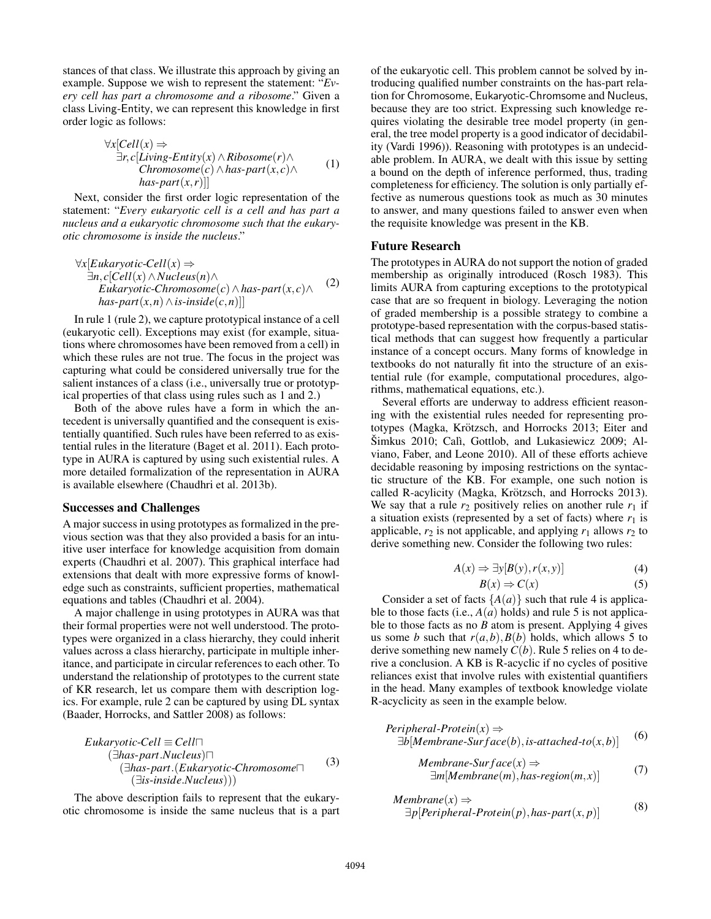stances of that class. We illustrate this approach by giving an example. Suppose we wish to represent the statement: "*Every cell has part a chromosome and a ribosome*." Given a class Living-Entity, we can represent this knowledge in first order logic as follows:

$$
\forall x[Cell(x) \Rightarrow \exists r, c[Living-Entity(x) \land Ribosome(r) \land \nChromosome(c) \land has-part(x, c) \land \nhas-part(x, r)]
$$
\n(1)

Next, consider the first order logic representation of the statement: "*Every eukaryotic cell is a cell and has part a nucleus and a eukaryotic chromosome such that the eukaryotic chromosome is inside the nucleus*."

$$
\forall x [Eukaryotic-Cell(x) \Rightarrow\exists n, c [Cell(x) \land Nucleus(n) \land\nEukaryotic-Chromosome(c) \land has-part(x, c) \land\nhas-part(x, n) \land is-instale(c, n)]]
$$
\n(2)

In rule 1 (rule 2), we capture prototypical instance of a cell (eukaryotic cell). Exceptions may exist (for example, situations where chromosomes have been removed from a cell) in which these rules are not true. The focus in the project was capturing what could be considered universally true for the salient instances of a class (i.e., universally true or prototypical properties of that class using rules such as 1 and 2.)

Both of the above rules have a form in which the antecedent is universally quantified and the consequent is existentially quantified. Such rules have been referred to as existential rules in the literature (Baget et al. 2011). Each prototype in AURA is captured by using such existential rules. A more detailed formalization of the representation in AURA is available elsewhere (Chaudhri et al. 2013b).

#### Successes and Challenges

A major success in using prototypes as formalized in the previous section was that they also provided a basis for an intuitive user interface for knowledge acquisition from domain experts (Chaudhri et al. 2007). This graphical interface had extensions that dealt with more expressive forms of knowledge such as constraints, sufficient properties, mathematical equations and tables (Chaudhri et al. 2004).

A major challenge in using prototypes in AURA was that their formal properties were not well understood. The prototypes were organized in a class hierarchy, they could inherit values across a class hierarchy, participate in multiple inheritance, and participate in circular references to each other. To understand the relationship of prototypes to the current state of KR research, let us compare them with description logics. For example, rule 2 can be captured by using DL syntax (Baader, Horrocks, and Sattler 2008) as follows:

$$
Eukaryotic-Cell \equiv Cell \sqcap
$$
  
\n
$$
(\exists has-part.Nucleus) \sqcap
$$
  
\n
$$
(\exists has-part.(Eukaryotic-Chromosome \sqcap
$$
  
\n
$$
(\exists is-instide.Nucleus)))
$$
\n(3)

The above description fails to represent that the eukaryotic chromosome is inside the same nucleus that is a part of the eukaryotic cell. This problem cannot be solved by introducing qualified number constraints on the has-part relation for Chromosome, Eukaryotic-Chromsome and Nucleus, because they are too strict. Expressing such knowledge requires violating the desirable tree model property (in general, the tree model property is a good indicator of decidability (Vardi 1996)). Reasoning with prototypes is an undecidable problem. In AURA, we dealt with this issue by setting a bound on the depth of inference performed, thus, trading completeness for efficiency. The solution is only partially effective as numerous questions took as much as 30 minutes to answer, and many questions failed to answer even when the requisite knowledge was present in the KB.

#### Future Research

The prototypes in AURA do not support the notion of graded membership as originally introduced (Rosch 1983). This limits AURA from capturing exceptions to the prototypical case that are so frequent in biology. Leveraging the notion of graded membership is a possible strategy to combine a prototype-based representation with the corpus-based statistical methods that can suggest how frequently a particular instance of a concept occurs. Many forms of knowledge in textbooks do not naturally fit into the structure of an existential rule (for example, computational procedures, algorithms, mathematical equations, etc.).

Several efforts are underway to address efficient reasoning with the existential rules needed for representing prototypes (Magka, Krötzsch, and Horrocks 2013; Eiter and Šimkus 2010; Calì, Gottlob, and Lukasiewicz 2009; Alviano, Faber, and Leone 2010). All of these efforts achieve decidable reasoning by imposing restrictions on the syntactic structure of the KB. For example, one such notion is called R-acylicity (Magka, Krötzsch, and Horrocks 2013). We say that a rule  $r_2$  positively relies on another rule  $r_1$  if a situation exists (represented by a set of facts) where  $r_1$  is applicable,  $r_2$  is not applicable, and applying  $r_1$  allows  $r_2$  to derive something new. Consider the following two rules:

$$
A(x) \Rightarrow \exists y[B(y), r(x, y)]
$$
  
\n
$$
B(x) \Rightarrow C(x)
$$
\n(4)

Consider a set of facts  ${A(a)}$  such that rule 4 is applicable to those facts (i.e.,  $A(a)$  holds) and rule 5 is not applicable to those facts as no  $B$  atom is present. Applying 4 gives us some *b* such that  $r(a,b), B(b)$  holds, which allows 5 to derive something new namely  $C(b)$ . Rule 5 relies on 4 to derive a conclusion. A KB is R-acyclic if no cycles of positive reliances exist that involve rules with existential quantifiers in the head. Many examples of textbook knowledge violate R-acyclicity as seen in the example below.

Peripheral-Protein(x) 
$$
\Rightarrow
$$
  
\n $\exists b$ [Membrane-Surface(b), is-attached-to(x,b)] (6)

$$
MemberSurface(x) \Rightarrow
$$
  
\n
$$
\exists m[Member(m), has-region(m, x)] \qquad (7)
$$

*Member*
$$
(x)
$$
  $\Rightarrow$   
\n $\exists p[Peripheral-Protein(p), has-part(x, p)]$  (8)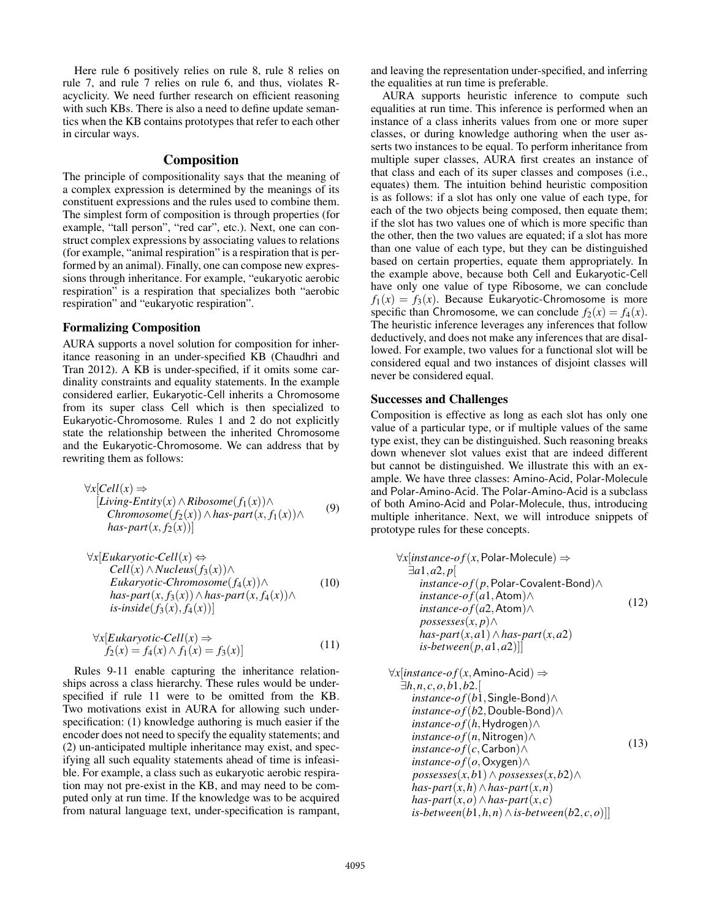Here rule 6 positively relies on rule 8, rule 8 relies on rule 7, and rule 7 relies on rule 6, and thus, violates Racyclicity. We need further research on efficient reasoning with such KBs. There is also a need to define update semantics when the KB contains prototypes that refer to each other in circular ways.

## Composition

The principle of compositionality says that the meaning of a complex expression is determined by the meanings of its constituent expressions and the rules used to combine them. The simplest form of composition is through properties (for example, "tall person", "red car", etc.). Next, one can construct complex expressions by associating values to relations (for example, "animal respiration" is a respiration that is performed by an animal). Finally, one can compose new expressions through inheritance. For example, "eukaryotic aerobic respiration" is a respiration that specializes both "aerobic respiration" and "eukaryotic respiration".

#### Formalizing Composition

AURA supports a novel solution for composition for inheritance reasoning in an under-specified KB (Chaudhri and Tran 2012). A KB is under-specified, if it omits some cardinality constraints and equality statements. In the example considered earlier, Eukaryotic-Cell inherits a Chromosome from its super class Cell which is then specialized to Eukaryotic-Chromosome. Rules 1 and 2 do not explicitly state the relationship between the inherited Chromosome and the Eukaryotic-Chromosome. We can address that by rewriting them as follows:

$$
\forall x [Cell(x) \Rightarrow [Living-Entity(x) \land Ribosome(f_1(x)) \land Chromosome(f_2(x)) \land has-part(x, f_1(x)) \land has-part(x, f_2(x))]
$$
\n(9)

$$
\forall x [Eukaryotic-Cell(x) \Leftrightarrow \text{Cell}(x) \land \text{Nucleus}(f_3(x)) \land \text{Eukaryotic-Chromosome}(f_4(x)) \land \text{has-part}(x, f_3(x)) \land \text{has-part}(x, f_4(x)) \land \text{is-inside}(f_3(x), f_4(x))]
$$
\n(10)

$$
\forall x [Eukaryotic-Cell(x) \Rightarrowf_2(x) = f_4(x) \land f_1(x) = f_3(x)]
$$
 (11)

Rules 9-11 enable capturing the inheritance relationships across a class hierarchy. These rules would be underspecified if rule 11 were to be omitted from the KB. Two motivations exist in AURA for allowing such underspecification: (1) knowledge authoring is much easier if the encoder does not need to specify the equality statements; and (2) un-anticipated multiple inheritance may exist, and specifying all such equality statements ahead of time is infeasible. For example, a class such as eukaryotic aerobic respiration may not pre-exist in the KB, and may need to be computed only at run time. If the knowledge was to be acquired from natural language text, under-specification is rampant,

and leaving the representation under-specified, and inferring the equalities at run time is preferable.

AURA supports heuristic inference to compute such equalities at run time. This inference is performed when an instance of a class inherits values from one or more super classes, or during knowledge authoring when the user asserts two instances to be equal. To perform inheritance from multiple super classes, AURA first creates an instance of that class and each of its super classes and composes (i.e., equates) them. The intuition behind heuristic composition is as follows: if a slot has only one value of each type, for each of the two objects being composed, then equate them; if the slot has two values one of which is more specific than the other, then the two values are equated; if a slot has more than one value of each type, but they can be distinguished based on certain properties, equate them appropriately. In the example above, because both Cell and Eukaryotic-Cell have only one value of type Ribosome, we can conclude  $f_1(x) = f_3(x)$ . Because Eukaryotic-Chromosome is more specific than Chromosome, we can conclude  $f_2(x) = f_4(x)$ . The heuristic inference leverages any inferences that follow deductively, and does not make any inferences that are disallowed. For example, two values for a functional slot will be considered equal and two instances of disjoint classes will never be considered equal.

## Successes and Challenges

Composition is effective as long as each slot has only one value of a particular type, or if multiple values of the same type exist, they can be distinguished. Such reasoning breaks down whenever slot values exist that are indeed different but cannot be distinguished. We illustrate this with an example. We have three classes: Amino-Acid, Polar-Molecule and Polar-Amino-Acid. The Polar-Amino-Acid is a subclass of both Amino-Acid and Polar-Molecule, thus, introducing multiple inheritance. Next, we will introduce snippets of prototype rules for these concepts.

$$
\forall x[instance-of(x, Polar-Molecule) \Rightarrow \exists a1, a2, p[ \text{instance-of}(p, Polar-Covalent-Bond) \land \text{instance-of}(a1, Atom) \land \text{instance-of}(a2,Atom) \land \text{0} \land \text{0} \land \text{0} \land \text{0} \land \text{0} \land \text{0} \land \text{0} \land \text{0} \land \text{0} \land \text{0} \land \text{0} \land \text{0} \land \text{0} \land \text{0} \land \text{0} \land \text{0} \land \text{0} \land \text{0} \land \text{0} \land \text{0} \land \text{0} \land \text{0} \land \text{0} \land \text{0} \land \text{0} \land \text{0} \land \text{0} \land \text{0} \land \text{0} \land \text{0} \land \text{0} \land \text{0} \land \text{0} \land \text{0} \land \text{0} \land \text{0} \land \text{0} \land \text{0} \land \text{0} \land \text{0} \land \text{0} \land \text{0} \land \text{0} \land \text{0} \land \text{0} \land \text{0} \land \text{0} \land \text{0} \land \text{0} \land \text{0} \land \text{0} \land \text{0} \land \text{0} \land \text{0} \land \text{0} \land \text{0} \land \text{0} \land \text{0} \land \text{0} \land \text{0} \land \text{0} \land \text{0} \land \text{0} \land \text{0} \land \text{0} \land \text{0} \land \text{0} \land \text{0} \land \text{0} \land \text{0} \land \text{0} \land \text{0} \land \text{0} \land \text{0} \land \text{0} \land \text{0} \land \text{0} \land \text{0} \land \text{0} \land \text{0} \land \text{0} \land \text{0} \land \text{0} \land \text{0} \land \text{0} \land \text{0} \land \text{0} \land \text{0} \land \text{0} \land \text{0} \land \text{0} \land \text{0} \land \text{0} \land \text{0} \land \text{0} \land \text{0} \land \text{0} \land \text{0} \land \text{0} \land
$$

*has-part*(*x*, *o*) ∧ *has-part*(*x*, *c*)

*is*-*between*(*b*1,*h*,*n*)∧*is*-*between*(*b*2,*c*,*o*)||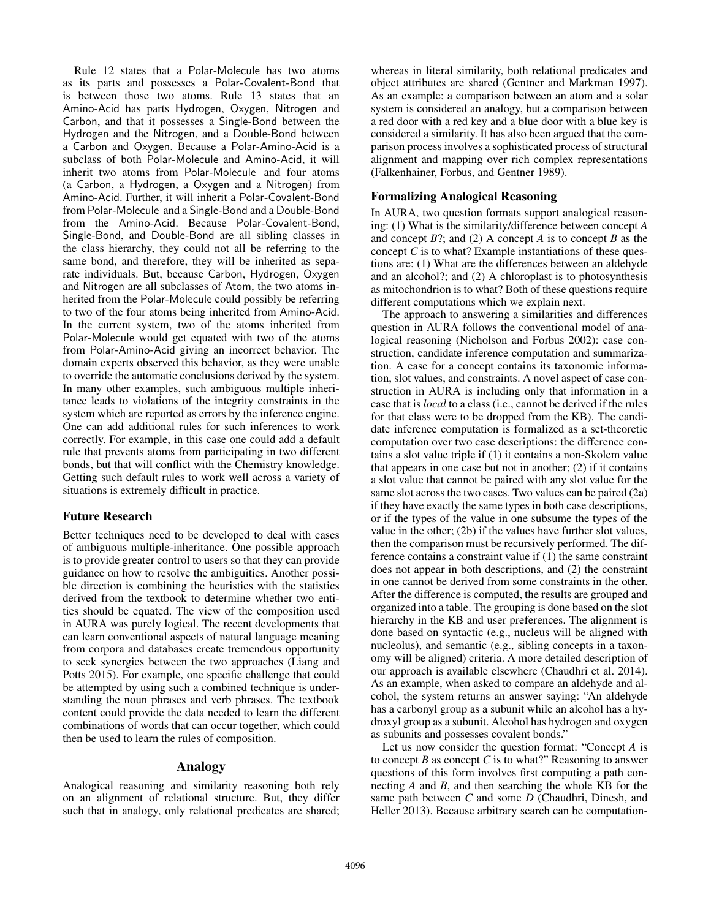Rule 12 states that a Polar-Molecule has two atoms as its parts and possesses a Polar-Covalent-Bond that is between those two atoms. Rule 13 states that an Amino-Acid has parts Hydrogen, Oxygen, Nitrogen and Carbon, and that it possesses a Single-Bond between the Hydrogen and the Nitrogen, and a Double-Bond between a Carbon and Oxygen. Because a Polar-Amino-Acid is a subclass of both Polar-Molecule and Amino-Acid, it will inherit two atoms from Polar-Molecule and four atoms (a Carbon, a Hydrogen, a Oxygen and a Nitrogen) from Amino-Acid. Further, it will inherit a Polar-Covalent-Bond from Polar-Molecule and a Single-Bond and a Double-Bond from the Amino-Acid. Because Polar-Covalent-Bond, Single-Bond, and Double-Bond are all sibling classes in the class hierarchy, they could not all be referring to the same bond, and therefore, they will be inherited as separate individuals. But, because Carbon, Hydrogen, Oxygen and Nitrogen are all subclasses of Atom, the two atoms inherited from the Polar-Molecule could possibly be referring to two of the four atoms being inherited from Amino-Acid. In the current system, two of the atoms inherited from Polar-Molecule would get equated with two of the atoms from Polar-Amino-Acid giving an incorrect behavior. The domain experts observed this behavior, as they were unable to override the automatic conclusions derived by the system. In many other examples, such ambiguous multiple inheritance leads to violations of the integrity constraints in the system which are reported as errors by the inference engine. One can add additional rules for such inferences to work correctly. For example, in this case one could add a default rule that prevents atoms from participating in two different bonds, but that will conflict with the Chemistry knowledge. Getting such default rules to work well across a variety of situations is extremely difficult in practice.

# Future Research

Better techniques need to be developed to deal with cases of ambiguous multiple-inheritance. One possible approach is to provide greater control to users so that they can provide guidance on how to resolve the ambiguities. Another possible direction is combining the heuristics with the statistics derived from the textbook to determine whether two entities should be equated. The view of the composition used in AURA was purely logical. The recent developments that can learn conventional aspects of natural language meaning from corpora and databases create tremendous opportunity to seek synergies between the two approaches (Liang and Potts 2015). For example, one specific challenge that could be attempted by using such a combined technique is understanding the noun phrases and verb phrases. The textbook content could provide the data needed to learn the different combinations of words that can occur together, which could then be used to learn the rules of composition.

## Analogy

Analogical reasoning and similarity reasoning both rely on an alignment of relational structure. But, they differ such that in analogy, only relational predicates are shared;

whereas in literal similarity, both relational predicates and object attributes are shared (Gentner and Markman 1997). As an example: a comparison between an atom and a solar system is considered an analogy, but a comparison between a red door with a red key and a blue door with a blue key is considered a similarity. It has also been argued that the comparison process involves a sophisticated process of structural alignment and mapping over rich complex representations (Falkenhainer, Forbus, and Gentner 1989).

## Formalizing Analogical Reasoning

In AURA, two question formats support analogical reasoning: (1) What is the similarity/difference between concept *A* and concept *B*?; and (2) A concept *A* is to concept *B* as the concept *C* is to what? Example instantiations of these questions are: (1) What are the differences between an aldehyde and an alcohol?; and (2) A chloroplast is to photosynthesis as mitochondrion is to what? Both of these questions require different computations which we explain next.

The approach to answering a similarities and differences question in AURA follows the conventional model of analogical reasoning (Nicholson and Forbus 2002): case construction, candidate inference computation and summarization. A case for a concept contains its taxonomic information, slot values, and constraints. A novel aspect of case construction in AURA is including only that information in a case that is *local* to a class (i.e., cannot be derived if the rules for that class were to be dropped from the KB). The candidate inference computation is formalized as a set-theoretic computation over two case descriptions: the difference contains a slot value triple if (1) it contains a non-Skolem value that appears in one case but not in another; (2) if it contains a slot value that cannot be paired with any slot value for the same slot across the two cases. Two values can be paired (2a) if they have exactly the same types in both case descriptions, or if the types of the value in one subsume the types of the value in the other; (2b) if the values have further slot values, then the comparison must be recursively performed. The difference contains a constraint value if (1) the same constraint does not appear in both descriptions, and (2) the constraint in one cannot be derived from some constraints in the other. After the difference is computed, the results are grouped and organized into a table. The grouping is done based on the slot hierarchy in the KB and user preferences. The alignment is done based on syntactic (e.g., nucleus will be aligned with nucleolus), and semantic (e.g., sibling concepts in a taxonomy will be aligned) criteria. A more detailed description of our approach is available elsewhere (Chaudhri et al. 2014). As an example, when asked to compare an aldehyde and alcohol, the system returns an answer saying: "An aldehyde has a carbonyl group as a subunit while an alcohol has a hydroxyl group as a subunit. Alcohol has hydrogen and oxygen as subunits and possesses covalent bonds."

Let us now consider the question format: "Concept *A* is to concept  $B$  as concept  $C$  is to what?" Reasoning to answer questions of this form involves first computing a path connecting *A* and *B*, and then searching the whole KB for the same path between *C* and some *D* (Chaudhri, Dinesh, and Heller 2013). Because arbitrary search can be computation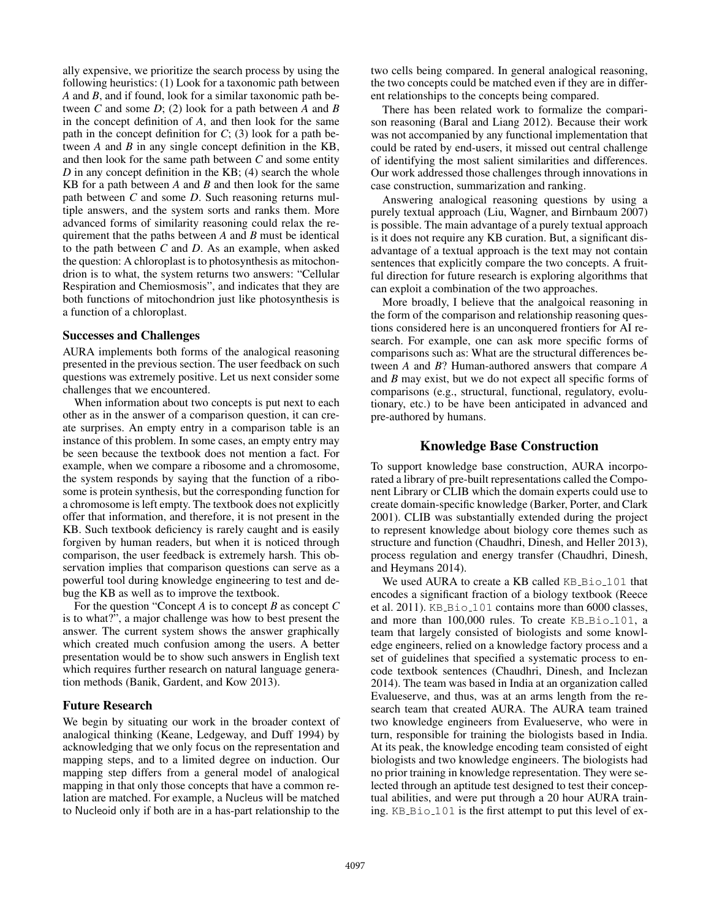ally expensive, we prioritize the search process by using the following heuristics: (1) Look for a taxonomic path between *A* and *B*, and if found, look for a similar taxonomic path between *C* and some *D*; (2) look for a path between *A* and *B* in the concept definition of *A*, and then look for the same path in the concept definition for  $C$ ; (3) look for a path between *A* and *B* in any single concept definition in the KB, and then look for the same path between *C* and some entity *D* in any concept definition in the KB; (4) search the whole KB for a path between *A* and *B* and then look for the same path between *C* and some *D*. Such reasoning returns multiple answers, and the system sorts and ranks them. More advanced forms of similarity reasoning could relax the requirement that the paths between *A* and *B* must be identical to the path between *C* and *D*. As an example, when asked the question: A chloroplast is to photosynthesis as mitochondrion is to what, the system returns two answers: "Cellular Respiration and Chemiosmosis", and indicates that they are both functions of mitochondrion just like photosynthesis is a function of a chloroplast.

## Successes and Challenges

AURA implements both forms of the analogical reasoning presented in the previous section. The user feedback on such questions was extremely positive. Let us next consider some challenges that we encountered.

When information about two concepts is put next to each other as in the answer of a comparison question, it can create surprises. An empty entry in a comparison table is an instance of this problem. In some cases, an empty entry may be seen because the textbook does not mention a fact. For example, when we compare a ribosome and a chromosome, the system responds by saying that the function of a ribosome is protein synthesis, but the corresponding function for a chromosome is left empty. The textbook does not explicitly offer that information, and therefore, it is not present in the KB. Such textbook deficiency is rarely caught and is easily forgiven by human readers, but when it is noticed through comparison, the user feedback is extremely harsh. This observation implies that comparison questions can serve as a powerful tool during knowledge engineering to test and debug the KB as well as to improve the textbook.

For the question "Concept *A* is to concept *B* as concept *C* is to what?", a major challenge was how to best present the answer. The current system shows the answer graphically which created much confusion among the users. A better presentation would be to show such answers in English text which requires further research on natural language generation methods (Banik, Gardent, and Kow 2013).

## Future Research

We begin by situating our work in the broader context of analogical thinking (Keane, Ledgeway, and Duff 1994) by acknowledging that we only focus on the representation and mapping steps, and to a limited degree on induction. Our mapping step differs from a general model of analogical mapping in that only those concepts that have a common relation are matched. For example, a Nucleus will be matched to Nucleoid only if both are in a has-part relationship to the

two cells being compared. In general analogical reasoning, the two concepts could be matched even if they are in different relationships to the concepts being compared.

There has been related work to formalize the comparison reasoning (Baral and Liang 2012). Because their work was not accompanied by any functional implementation that could be rated by end-users, it missed out central challenge of identifying the most salient similarities and differences. Our work addressed those challenges through innovations in case construction, summarization and ranking.

Answering analogical reasoning questions by using a purely textual approach (Liu, Wagner, and Birnbaum 2007) is possible. The main advantage of a purely textual approach is it does not require any KB curation. But, a significant disadvantage of a textual approach is the text may not contain sentences that explicitly compare the two concepts. A fruitful direction for future research is exploring algorithms that can exploit a combination of the two approaches.

More broadly, I believe that the analgoical reasoning in the form of the comparison and relationship reasoning questions considered here is an unconquered frontiers for AI research. For example, one can ask more specific forms of comparisons such as: What are the structural differences between *A* and *B*? Human-authored answers that compare *A* and *B* may exist, but we do not expect all specific forms of comparisons (e.g., structural, functional, regulatory, evolutionary, etc.) to be have been anticipated in advanced and pre-authored by humans.

## Knowledge Base Construction

To support knowledge base construction, AURA incorporated a library of pre-built representations called the Component Library or CLIB which the domain experts could use to create domain-specific knowledge (Barker, Porter, and Clark 2001). CLIB was substantially extended during the project to represent knowledge about biology core themes such as structure and function (Chaudhri, Dinesh, and Heller 2013), process regulation and energy transfer (Chaudhri, Dinesh, and Heymans 2014).

We used AURA to create a KB called KB\_Bio\_101 that encodes a significant fraction of a biology textbook (Reece et al. 2011). KB\_Bio\_101 contains more than 6000 classes, and more than 100,000 rules. To create KB\_Bio\_101, a team that largely consisted of biologists and some knowledge engineers, relied on a knowledge factory process and a set of guidelines that specified a systematic process to encode textbook sentences (Chaudhri, Dinesh, and Inclezan 2014). The team was based in India at an organization called Evalueserve, and thus, was at an arms length from the research team that created AURA. The AURA team trained two knowledge engineers from Evalueserve, who were in turn, responsible for training the biologists based in India. At its peak, the knowledge encoding team consisted of eight biologists and two knowledge engineers. The biologists had no prior training in knowledge representation. They were selected through an aptitude test designed to test their conceptual abilities, and were put through a 20 hour AURA training. KB\_Bio\_101 is the first attempt to put this level of ex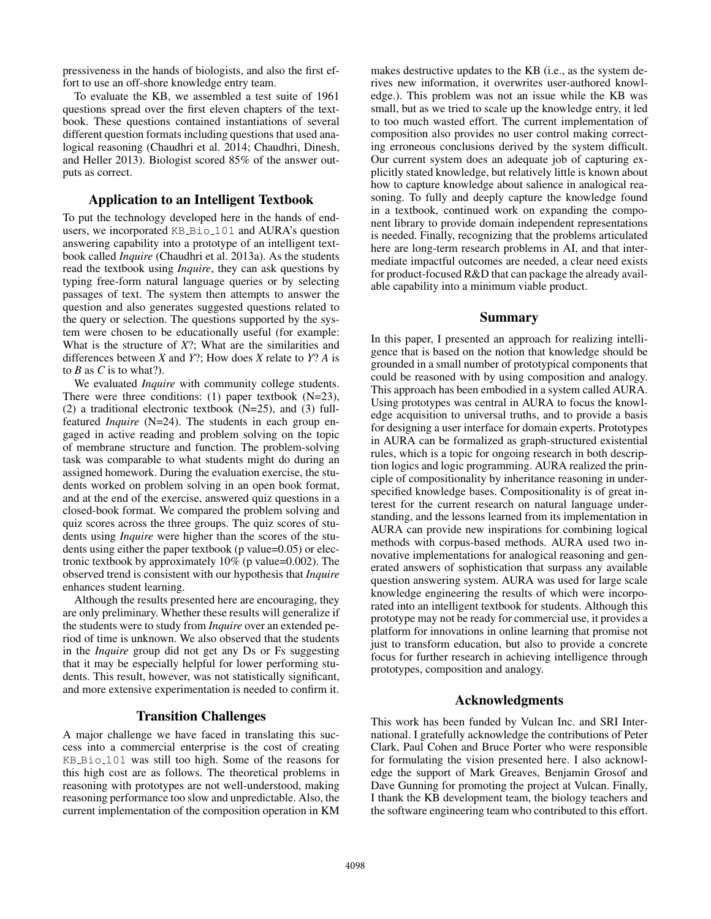pressiveness in the hands of biologists, and also the first effort to use an off-shore knowledge entry team.

To evaluate the KB, we assembled a test suite of 1961 questions spread over the first eleven chapters of the textbook. These questions contained instantiations of several different question formats including questions that used analogical reasoning (Chaudhri et al. 2014; Chaudhri, Dinesh, and Heller 2013). Biologist scored 85% of the answer outputs as correct.

## Application to an Intelligent Textbook

To put the technology developed here in the hands of endusers, we incorporated KB\_Bio\_101 and AURA's question answering capability into a prototype of an intelligent textbook called *Inquire* (Chaudhri et al. 2013a). As the students read the textbook using *Inquire*, they can ask questions by typing free-form natural language queries or by selecting passages of text. The system then attempts to answer the question and also generates suggested questions related to the query or selection. The questions supported by the system were chosen to be educationally useful (for example: What is the structure of *X*?; What are the similarities and differences between *X* and *Y*?; How does *X* relate to *Y*? *A* is to  $B$  as  $C$  is to what?).

We evaluated *Inquire* with community college students. There were three conditions:  $(1)$  paper textbook  $(N=23)$ , (2) a traditional electronic textbook (N=25), and (3) fullfeatured *Inquire* (N=24). The students in each group engaged in active reading and problem solving on the topic of membrane structure and function. The problem-solving task was comparable to what students might do during an assigned homework. During the evaluation exercise, the students worked on problem solving in an open book format, and at the end of the exercise, answered quiz questions in a closed-book format. We compared the problem solving and quiz scores across the three groups. The quiz scores of students using *Inquire* were higher than the scores of the students using either the paper textbook (p value=0.05) or electronic textbook by approximately 10% (p value=0.002). The observed trend is consistent with our hypothesis that *Inquire* enhances student learning.

Although the results presented here are encouraging, they are only preliminary. Whether these results will generalize if the students were to study from *Inquire* over an extended period of time is unknown. We also observed that the students in the *Inquire* group did not get any Ds or Fs suggesting that it may be especially helpful for lower performing students. This result, however, was not statistically significant, and more extensive experimentation is needed to confirm it.

## Transition Challenges

A major challenge we have faced in translating this success into a commercial enterprise is the cost of creating KB Bio 101 was still too high. Some of the reasons for this high cost are as follows. The theoretical problems in reasoning with prototypes are not well-understood, making reasoning performance too slow and unpredictable. Also, the current implementation of the composition operation in KM

makes destructive updates to the KB (i.e., as the system derives new information, it overwrites user-authored knowledge.). This problem was not an issue while the KB was small, but as we tried to scale up the knowledge entry, it led to too much wasted effort. The current implementation of composition also provides no user control making correcting erroneous conclusions derived by the system difficult. Our current system does an adequate job of capturing explicitly stated knowledge, but relatively little is known about how to capture knowledge about salience in analogical reasoning. To fully and deeply capture the knowledge found in a textbook, continued work on expanding the component library to provide domain independent representations is needed. Finally, recognizing that the problems articulated here are long-term research problems in AI, and that intermediate impactful outcomes are needed, a clear need exists for product-focused R&D that can package the already available capability into a minimum viable product.

## Summary

In this paper, I presented an approach for realizing intelligence that is based on the notion that knowledge should be grounded in a small number of prototypical components that could be reasoned with by using composition and analogy. This approach has been embodied in a system called AURA. Using prototypes was central in AURA to focus the knowledge acquisition to universal truths, and to provide a basis for designing a user interface for domain experts. Prototypes in AURA can be formalized as graph-structured existential rules, which is a topic for ongoing research in both description logics and logic programming. AURA realized the principle of compositionality by inheritance reasoning in underspecified knowledge bases. Compositionality is of great interest for the current research on natural language understanding, and the lessons learned from its implementation in AURA can provide new inspirations for combining logical methods with corpus-based methods. AURA used two innovative implementations for analogical reasoning and generated answers of sophistication that surpass any available question answering system. AURA was used for large scale knowledge engineering the results of which were incorporated into an intelligent textbook for students. Although this prototype may not be ready for commercial use, it provides a platform for innovations in online learning that promise not just to transform education, but also to provide a concrete focus for further research in achieving intelligence through prototypes, composition and analogy.

## Acknowledgments

This work has been funded by Vulcan Inc. and SRI International. I gratefully acknowledge the contributions of Peter Clark, Paul Cohen and Bruce Porter who were responsible for formulating the vision presented here. I also acknowledge the support of Mark Greaves, Benjamin Grosof and Dave Gunning for promoting the project at Vulcan. Finally, I thank the KB development team, the biology teachers and the software engineering team who contributed to this effort.